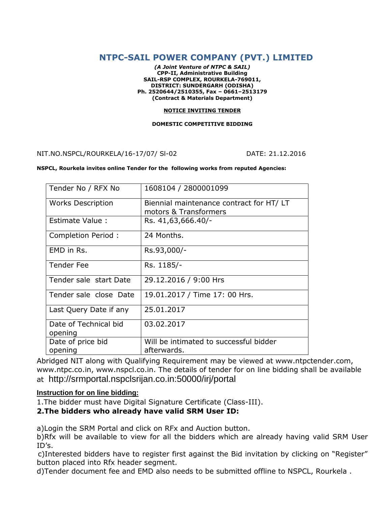# **NTPC-SAIL POWER COMPANY (PVT.) LIMITED**

*(A Joint Venture of NTPC & SAIL)* **CPP-II, Administrative Building SAIL-RSP COMPLEX, ROURKELA-769011, DISTRICT: SUNDERGARH (ODISHA) Ph. 2520644/2510355, Fax – 0661–2513179 (Contract & Materials Department)**

#### **NOTICE INVITING TENDER**

#### **DOMESTIC COMPETITIVE BIDDING**

NIT.NO.NSPCL/ROURKELA/16-17/07/ Sl-02 DATE: 21.12.2016

#### **NSPCL, Rourkela invites online Tender for the following works from reputed Agencies:**

| Tender No / RFX No               | 1608104 / 2800001099                                             |
|----------------------------------|------------------------------------------------------------------|
| <b>Works Description</b>         | Biennial maintenance contract for HT/LT<br>motors & Transformers |
| Estimate Value:                  | Rs. 41,63,666.40/-                                               |
| Completion Period:               | 24 Months.                                                       |
| EMD in Rs.                       | Rs.93,000/-                                                      |
| <b>Tender Fee</b>                | Rs. 1185/-                                                       |
| Tender sale start Date           | 29.12.2016 / 9:00 Hrs                                            |
| Tender sale close Date           | 19.01.2017 / Time 17: 00 Hrs.                                    |
| Last Query Date if any           | 25.01.2017                                                       |
| Date of Technical bid<br>opening | 03.02.2017                                                       |
| Date of price bid<br>opening     | Will be intimated to successful bidder<br>afterwards.            |

Abridged NIT along with Qualifying Requirement may be viewed at www.ntpctender.com, www.ntpc.co.in, www.nspcl.co.in. The details of tender for on line bidding shall be available at http://srmportal.nspclsrijan.co.in:50000/irj/portal

## **Instruction for on line bidding:**

1.The bidder must have Digital Signature Certificate (Class-III).

## **2.The bidders who already have valid SRM User ID:**

a)Login the SRM Portal and click on RFx and Auction button.

b)Rfx will be available to view for all the bidders which are already having valid SRM User ID's.

 c)Interested bidders have to register first against the Bid invitation by clicking on "Register" button placed into Rfx header segment.

d)Tender document fee and EMD also needs to be submitted offline to NSPCL, Rourkela .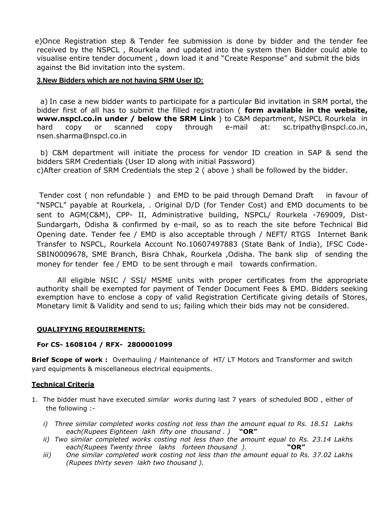e)Once Registration step & Tender fee submission is done by bidder and the tender fee received by the NSPCL , Rourkela and updated into the system then Bidder could able to visualise entire tender document , down load it and "Create Response" and submit the bids against the Bid invitation into the system.

## **3.New Bidders which are not having SRM User ID:**

 a) In case a new bidder wants to participate for a particular Bid invitation in SRM portal, the bidder first of all has to submit the filled registration ( **form available in the website, www.nspcl.co.in under / below the SRM Link** ) to C&M department, NSPCL Rourkela in hard copy or scanned copy through e-mail at: sc.tripathy@nspcl.co.in, nsen.sharma@nspcl.co.in

 b) C&M department will initiate the process for vendor ID creation in SAP & send the bidders SRM Credentials (User ID along with initial Password) c)After creation of SRM Credentials the step 2 ( above ) shall be followed by the bidder.

Tender cost ( non refundable ) and EMD to be paid through Demand Draft in favour of "NSPCL" payable at Rourkela, . Original D/D (for Tender Cost) and EMD documents to be sent to AGM(C&M), CPP- II, Administrative building, NSPCL/ Rourkela -769009, Dist-Sundargarh, Odisha & confirmed by e-mail, so as to reach the site before Technical Bid Opening date. Tender fee / EMD is also acceptable through / NEFT/ RTGS Internet Bank Transfer to NSPCL, Rourkela Account No.10607497883 (State Bank of India), IFSC Code-SBIN0009678, SME Branch, Bisra Chhak, Rourkela ,Odisha. The bank slip of sending the money for tender fee / EMD to be sent through e mail towards confirmation.

All eligible NSIC / SSI/ MSME units with proper certificates from the appropriate authority shall be exempted for payment of Tender Document Fees & EMD. Bidders seeking exemption have to enclose a copy of valid Registration Certificate giving details of Stores, Monetary limit & Validity and send to us; failing which their bids may not be considered.

## **QUALIFYING REQUIREMENTS:**

## **For CS- 1608104 / RFX- 2800001099**

**Brief Scope of work :** Overhauling / Maintenance of HT/ LT Motors and Transformer and switch yard equipments & miscellaneous electrical equipments.

## **Technical Criteria**

- 1. The bidder must have executed *similar works* during last 7 years of scheduled BOD , either of the following :
	- *i) Three similar completed works costing not less than the amount equal to Rs. 18.51 Lakhs each(Rupees Eighteen lakh fifty one thousand . )* **"OR"**
	- *ii) Two similar completed works costing not less than the amount equal to Rs. 23.14 Lakhs each(Rupees Twenty three lakhs forteen thousand ).* **"OR"**
	- *iii) One similar completed work costing not less than the amount equal to Rs. 37.02 Lakhs (Rupees thirty seven lakh two thousand ).*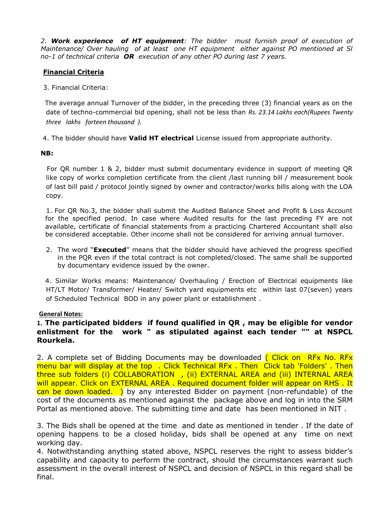*2. Work experience of HT equipment: The bidder must furnish proof of execution of Maintenance/ Over hauling of at least one HT equipment either against PO mentioned at Sl no-1 of technical criteria OR execution of any other PO during last 7 years.* 

# **Financial Criteria**

3. Financial Criteria:

 The average annual Turnover of the bidder, in the preceding three (3) financial years as on the date of techno-commercial bid opening, shall not be less than *Rs. 23.14 Lakhs each(Rupees Twenty three lakhs forteen thousand ).*

4. The bidder should have **Valid HT electrical** License issued from appropriate authority.

## **NB:**

For QR number 1 & 2, bidder must submit documentary evidence in support of meeting QR like copy of works completion certificate from the client /last running bill / measurement book of last bill paid / protocol jointly signed by owner and contractor/works bills along with the LOA copy.

1. For QR No.3, the bidder shall submit the Audited Balance Sheet and Profit & Loss Account for the specified period. In case where Audited results for the last preceding FY are not available, certificate of financial statements from a practicing Chartered Accountant shall also be considered acceptable. Other income shall not be considered for arriving annual turnover.

2. The word "**Executed**" means that the bidder should have achieved the progress specified in the PQR even if the total contract is not completed/closed. The same shall be supported by documentary evidence issued by the owner.

4. Similar Works means: Maintenance/ Overhauling / Erection of Electrical equipments like HT/LT Motor/ Transformer/ Heater/ Switch yard equipments etc within last 07(seven) years of Scheduled Technical BOD in any power plant or establishment .

## **General Notes:**

# **1. The participated bidders if found qualified in QR , may be eligible for vendor enlistment for the work " as stipulated against each tender "" at NSPCL Rourkela.**

2. A complete set of Bidding Documents may be downloaded (Click on RFx No. RFx menu bar will display at the top . Click Technical RFx . Then Click tab 'Folders' . Then three sub folders (i) COLLABORATION , (ii) EXTERNAL AREA and (iii) INTERNAL AREA will appear. Click on EXTERNAL AREA. Required document folder will appear on RHS. It can be down loaded. ) by any interested Bidder on payment (non-refundable) of the cost of the documents as mentioned against the package above and log in into the SRM Portal as mentioned above. The submitting time and date has been mentioned in NIT .

3. The Bids shall be opened at the time and date as mentioned in tender . If the date of opening happens to be a closed holiday, bids shall be opened at any time on next working day.

4. Notwithstanding anything stated above, NSPCL reserves the right to assess bidder's capability and capacity to perform the contract, should the circumstances warrant such assessment in the overall interest of NSPCL and decision of NSPCL in this regard shall be final.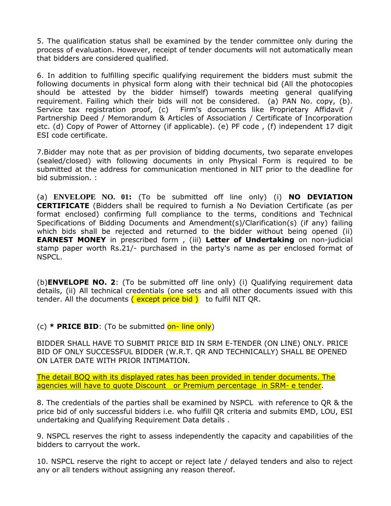5. The qualification status shall be examined by the tender committee only during the process of evaluation. However, receipt of tender documents will not automatically mean that bidders are considered qualified.

6. In addition to fulfilling specific qualifying requirement the bidders must submit the following documents in physical form along with their technical bid (All the photocopies should be attested by the bidder himself) towards meeting general qualifying requirement. Failing which their bids will not be considered. (a) PAN No. copy, (b). Service tax registration proof, (c) Firm's documents like Proprietary Affidavit / Partnership Deed / Memorandum & Articles of Association / Certificate of Incorporation etc. (d) Copy of Power of Attorney (if applicable). (e) PF code , (f) independent 17 digit ESI code certificate.

7.Bidder may note that as per provision of bidding documents, two separate envelopes (sealed/closed) with following documents in only Physical Form is required to be submitted at the address for communication mentioned in NIT prior to the deadline for bid submission. :

(a) **ENVELOPE NO. 01:** (To be submitted off line only) (i) **NO DEVIATION CERTIFICATE** (Bidders shall be required to furnish a No Deviation Certificate (as per format enclosed) confirming full compliance to the terms, conditions and Technical Specifications of Bidding Documents and Amendment(s)/Clarification(s) (if any) failing which bids shall be rejected and returned to the bidder without being opened (ii) **EARNEST MONEY** in prescribed form , (iii) **Letter of Undertaking** on non-judicial stamp paper worth Rs.21/- purchased in the party's name as per enclosed format of NSPCL.

(b)**ENVELOPE NO. 2**: (To be submitted off line only) (i) Qualifying requirement data details, (ii) All technical credentials (one sets and all other documents issued with this tender. All the documents (except price bid) to fulfil NIT QR.

(c) **\* PRICE BID**: (To be submitted on- line only)

BIDDER SHALL HAVE TO SUBMIT PRICE BID IN SRM E-TENDER (ON LINE) ONLY. PRICE BID OF ONLY SUCCESSFUL BIDDER (W.R.T. QR AND TECHNICALLY) SHALL BE OPENED ON LATER DATE WITH PRIOR INTIMATION.

The detail BOQ with its displayed rates has been provided in tender documents. The agencies will have to quote Discount or Premium percentage in SRM- e tender.

8. The credentials of the parties shall be examined by NSPCL with reference to QR & the price bid of only successful bidders i.e. who fulfill QR criteria and submits EMD, LOU, ESI undertaking and Qualifying Requirement Data details .

9. NSPCL reserves the right to assess independently the capacity and capabilities of the bidders to carryout the work.

10. NSPCL reserve the right to accept or reject late / delayed tenders and also to reject any or all tenders without assigning any reason thereof.